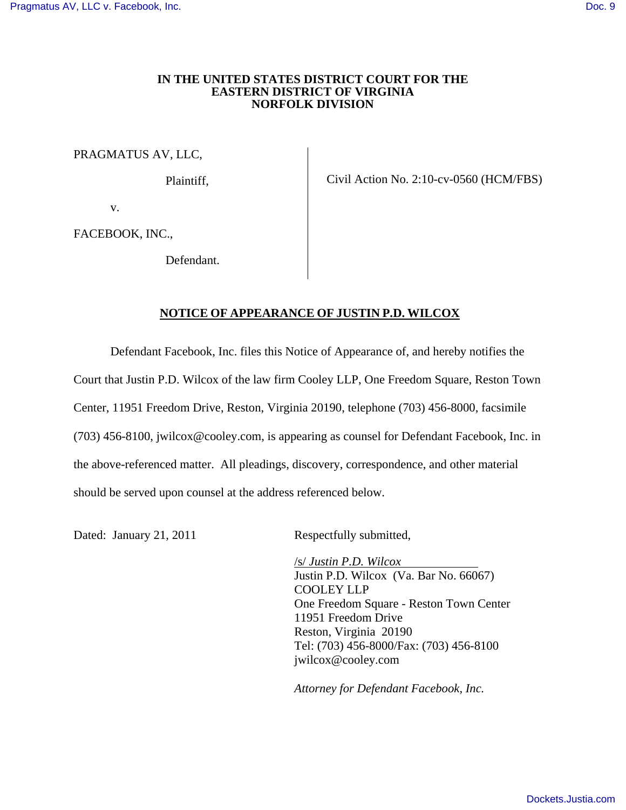## **IN THE UNITED STATES DISTRICT COURT FOR THE EASTERN DISTRICT OF VIRGINIA NORFOLK DIVISION**

PRAGMATUS AV, LLC,

Plaintiff,

Civil Action No. 2:10-cv-0560 (HCM/FBS)

v.

FACEBOOK, INC.,

Defendant.

## **NOTICE OF APPEARANCE OF JUSTIN P.D. WILCOX**

 Defendant Facebook, Inc. files this Notice of Appearance of, and hereby notifies the Court that Justin P.D. Wilcox of the law firm Cooley LLP, One Freedom Square, Reston Town Center, 11951 Freedom Drive, Reston, Virginia 20190, telephone (703) 456-8000, facsimile (703) 456-8100, jwilcox@cooley.com, is appearing as counsel for Defendant Facebook, Inc. in the above-referenced matter. All pleadings, discovery, correspondence, and other material should be served upon counsel at the address referenced below.

Dated: January 21, 2011 Respectfully submitted,

/s/ *Justin P.D. Wilcox*  Justin P.D. Wilcox (Va. Bar No. 66067) COOLEY LLP One Freedom Square - Reston Town Center 11951 Freedom Drive Reston, Virginia 20190 Tel: (703) 456-8000/Fax: (703) 456-8100 jwilcox@cooley.com

*Attorney for Defendant Facebook, Inc.*